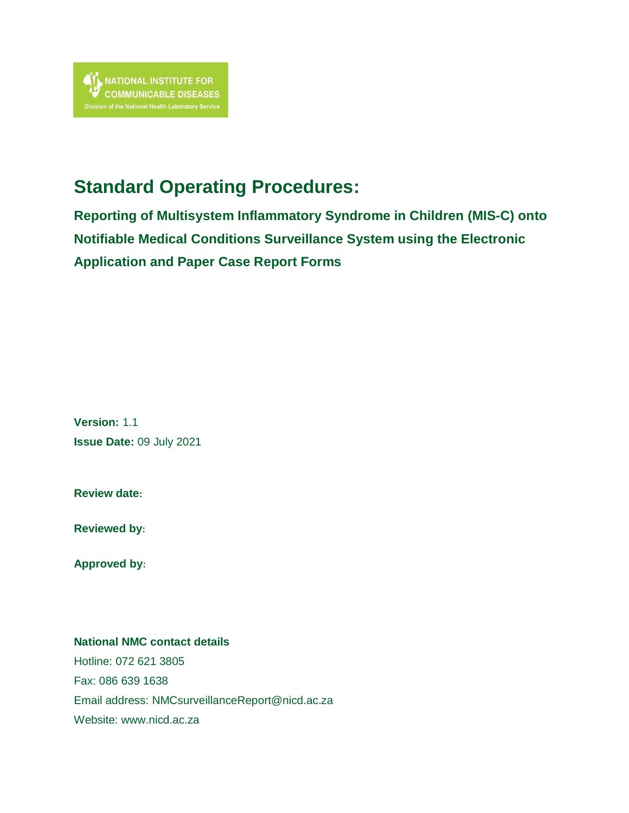# **Standard Operating Procedures:**

**Reporting of Multisystem Inflammatory Syndrome in Children (MIS-C) onto Notifiable Medical Conditions Surveillance System using the Electronic Application and Paper Case Report Forms**

**Version:** 1.1 **Issue Date:** 09 July 2021

**Review date:**

**Reviewed by:**

**Approved by:**

#### **National NMC contact details**

Hotline: 072 621 3805 Fax: 086 639 1638 Email address: [NMCsurveillanceReport@nicd.ac.za](mailto:NMCsurveillanceReport@nicd.ac.za) Website: www.nicd.ac.za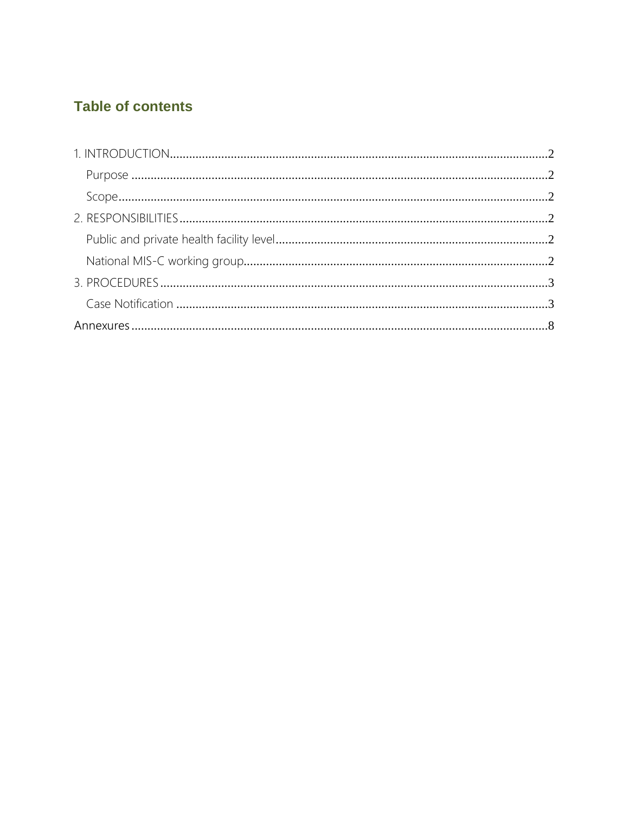## **Table of contents**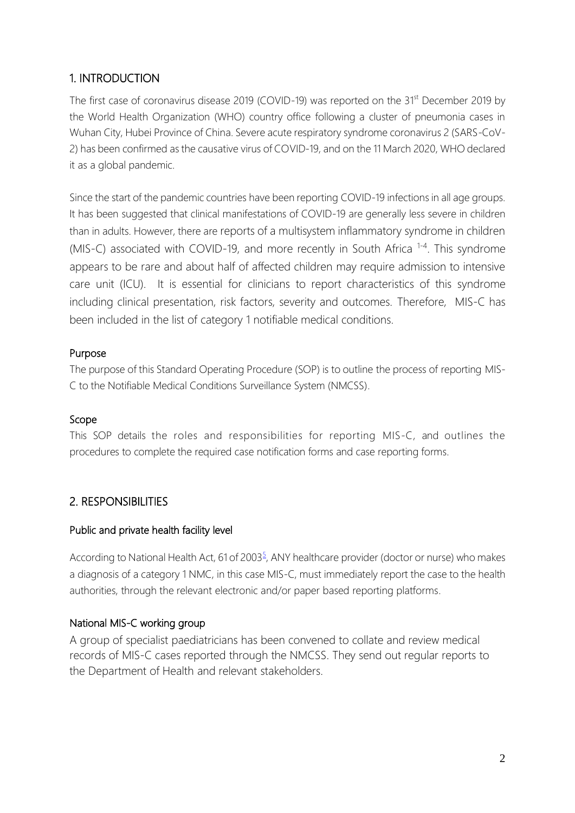## <span id="page-2-0"></span>1. INTRODUCTION

The first case of coronavirus disease 2019 (COVID-19) was reported on the 31<sup>st</sup> December 2019 by the World Health Organization (WHO) country office following a cluster of pneumonia cases in Wuhan City, Hubei Province of China. Severe acute respiratory syndrome coronavirus 2 (SARS-CoV-2) has been confirmed as the causative virus of COVID-19, and on the 11 March 2020, WHO declared it as a global pandemic.

Since the start of the pandemic countries have been reporting COVID-19 infections in all age groups. It has been suggested that clinical manifestations of COVID-19 are generally less severe in children than in adults. However, there are reports of a multisystem inflammatory syndrome in children (MIS-C) associated with COVID-19, and more recently in South Africa <sup>1-4</sup>. This syndrome appears to be rare and about half of affected children may require admission to intensive care unit (ICU). It is essential for clinicians to report characteristics of this syndrome including clinical presentation, risk factors, severity and outcomes. Therefore, MIS-C has been included in the list of category 1 notifiable medical conditions.

#### <span id="page-2-1"></span>Purpose

<span id="page-2-2"></span>The purpose of this Standard Operating Procedure (SOP) is to outline the process of reporting MIS-C to the Notifiable Medical Conditions Surveillance System (NMCSS).

#### Scope

<span id="page-2-3"></span>This SOP details the roles and responsibilities for reporting MIS-C, and outlines the procedures to complete the required case notification forms and case reporting forms.

## <span id="page-2-4"></span>2. RESPONSIBILITIES

#### Public and private health facility level

<span id="page-2-5"></span>According to National Health Act, 61 of 200[3](https://www.nicd.ac.za/wp-content/uploads/2017/12/41330_15-12_Health-compressed.pdf)<sup>5</sup>, ANY healthcare provider (doctor or nurse) who makes a diagnosis of a category 1 NMC, in this case MIS-C, must immediately report the case to the health authorities, through the relevant electronic and/or paper based reporting platforms.

#### National MIS-C working group

A group of specialist paediatricians has been convened to collate and review medical records of MIS-C cases reported through the NMCSS. They send out regular reports to the Department of Health and relevant stakeholders.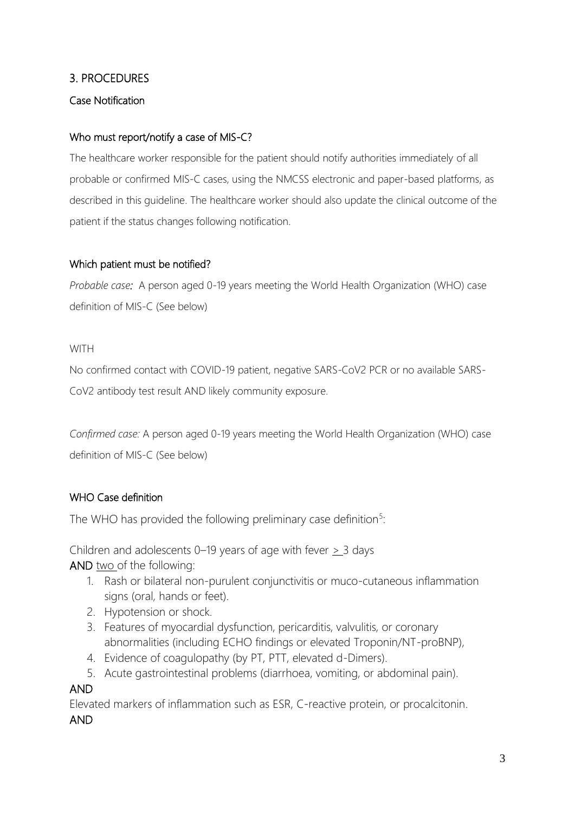#### <span id="page-3-1"></span><span id="page-3-0"></span>3. PROCEDURES

#### Case Notification

#### Who must report/notify a case of MIS-C?

The healthcare worker responsible for the patient should notify authorities immediately of all probable or confirmed MIS-C cases, using the NMCSS electronic and paper-based platforms, as described in this guideline. The healthcare worker should also update the clinical outcome of the patient if the status changes following notification.

#### Which patient must be notified?

*Probable case:* A person aged 0-19 years meeting the World Health Organization (WHO) case definition of MIS-C (See below)

#### **WITH**

No confirmed contact with COVID-19 patient, negative SARS-CoV2 PCR or no available SARS-CoV2 antibody test result AND likely community exposure.

*Confirmed case:* A person aged 0-19 years meeting the World Health Organization (WHO) case definition of MIS-C (See below)

#### WHO Case definition

The WHO has provided the following preliminary case definition<sup>5</sup>:

Children and adolescents 0–19 years of age with fever  $\geq$  3 days AND two of the following:

- 1. Rash or bilateral non-purulent conjunctivitis or muco-cutaneous inflammation signs (oral, hands or feet).
- 2. Hypotension or shock.
- 3. Features of myocardial dysfunction, pericarditis, valvulitis, or coronary abnormalities (including ECHO findings or elevated Troponin/NT-proBNP),
- 4. Evidence of coagulopathy (by PT, PTT, elevated d-Dimers).
- 5. Acute gastrointestinal problems (diarrhoea, vomiting, or abdominal pain).

#### AND

Elevated markers of inflammation such as ESR, C-reactive protein, or procalcitonin. AND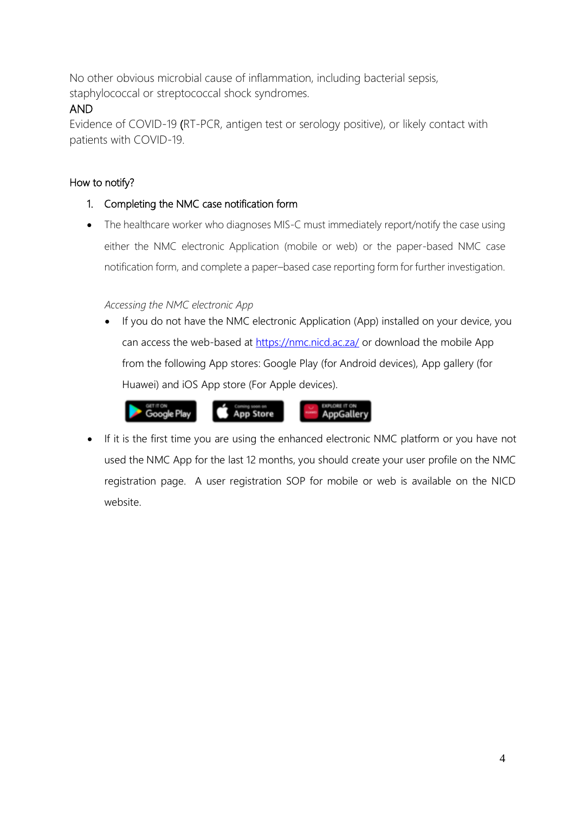No other obvious microbial cause of inflammation, including bacterial sepsis, staphylococcal or streptococcal shock syndromes.

## AND

Evidence of COVID-19 (RT-PCR, antigen test or serology positive), or likely contact with patients with COVID-19.

## How to notify?

- 1. Completing the NMC case notification form
- The healthcare worker who diagnoses MIS-C must immediately report/notify the case using either the NMC electronic Application (mobile or web) or the paper-based NMC case notification form, and complete a paper–based case reporting form for further investigation.

## *Accessing the NMC electronic App*

 If you do not have the NMC electronic Application (App) installed on your device, you can access the web-based at<https://nmc.nicd.ac.za/> or download the mobile App from the following App stores: Google Play (for Android devices), App gallery (for Huawei) and iOS App store (For Apple devices).



 If it is the first time you are using the enhanced electronic NMC platform or you have not used the NMC App for the last 12 months, you should create your user profile on the NMC registration page. A user registration SOP for mobile or web is available on the NICD website.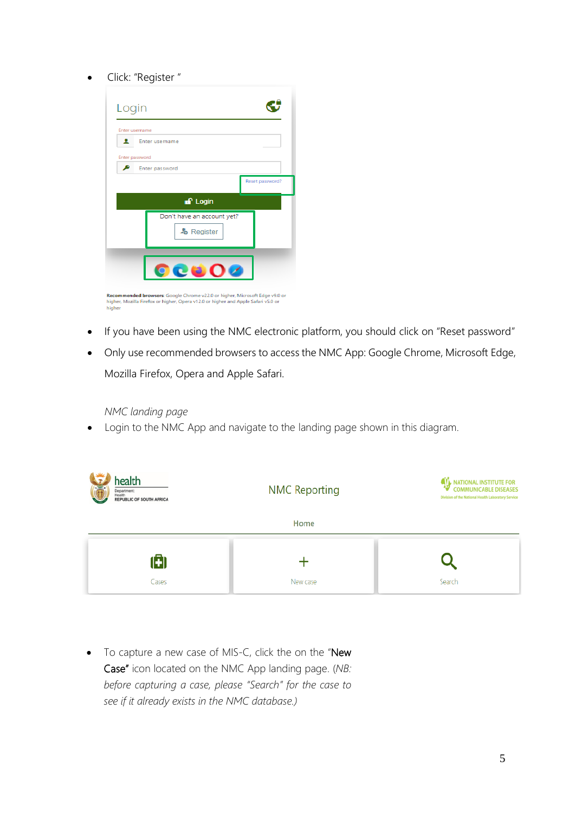#### Click: "Register "

| Enter username<br>Enter password |  |                                                                    |
|----------------------------------|--|--------------------------------------------------------------------|
|                                  |  |                                                                    |
|                                  |  |                                                                    |
| Enter password                   |  |                                                                    |
|                                  |  | Reset password?                                                    |
|                                  |  |                                                                    |
|                                  |  |                                                                    |
|                                  |  |                                                                    |
|                                  |  |                                                                    |
|                                  |  |                                                                    |
|                                  |  | $f$ Login<br>Don't have an account yet?<br>- <b>&amp;</b> Register |

**In mended browsers**: Google Critome v.2.2.0 or higher, Microsoft Edge vs.0 of<br>Er, Mozilla Firefox or higher, Opera v12.0 or higher and Apple Safari v5.0 or

- If you have been using the NMC electronic platform, you should click on "Reset password"
- Only use recommended browsers to access the NMC App: Google Chrome, Microsoft Edge, Mozilla Firefox, Opera and Apple Safari.

 *NMC landing page* 

Login to the NMC App and navigate to the landing page shown in this diagram.

| health<br>高<br>Department:<br>Health<br><b>REPUBLIC OF SOUTH AFRICA</b> | <b>NMC Reporting</b> | , NATIONAL INSTITUTE FOR<br><b>COMMUNICABLE DISEASES</b><br>Division of the National Health Laboratory Service |  |  |  |
|-------------------------------------------------------------------------|----------------------|----------------------------------------------------------------------------------------------------------------|--|--|--|
| Home                                                                    |                      |                                                                                                                |  |  |  |
| O<br>Cases                                                              | New case             | Search                                                                                                         |  |  |  |

• To capture a new case of MIS-C, click the on the "New Case" icon located on the NMC App landing page. (*NB: before capturing a case, please "Search" for the case to see if it already exists in the NMC database.)*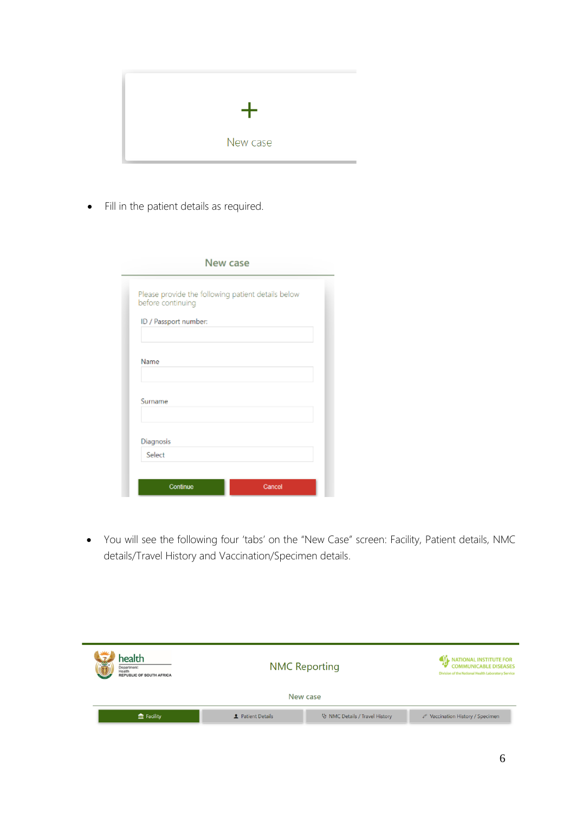

• Fill in the patient details as required.

| New case                                                                |        |  |  |
|-------------------------------------------------------------------------|--------|--|--|
| Please provide the following patient details below<br>before continuing |        |  |  |
| ID / Passport number:                                                   |        |  |  |
| Name                                                                    |        |  |  |
| Surname                                                                 |        |  |  |
| Diagnosis                                                               |        |  |  |
| Select                                                                  |        |  |  |
| Continue                                                                | Cancel |  |  |

 You will see the following four 'tabs' on the "New Case" screen: Facility, Patient details, NMC details/Travel History and Vaccination/Specimen details.

| health<br><b>BO</b><br>Department:<br>Health<br><b>REPUBLIC OF SOUTH AFRICA</b> | <b>NMC Reporting</b><br>New case |                                | <b>ATL NATIONAL INSTITUTE FOR</b><br><b>COMMUNICABLE DISEASES</b><br>Division of the National Health Laboratory Service |
|---------------------------------------------------------------------------------|----------------------------------|--------------------------------|-------------------------------------------------------------------------------------------------------------------------|
| $m$ Facility                                                                    | <b>2</b> Patient Details         | V NMC Details / Travel History | ♦ Vaccination History / Specimen                                                                                        |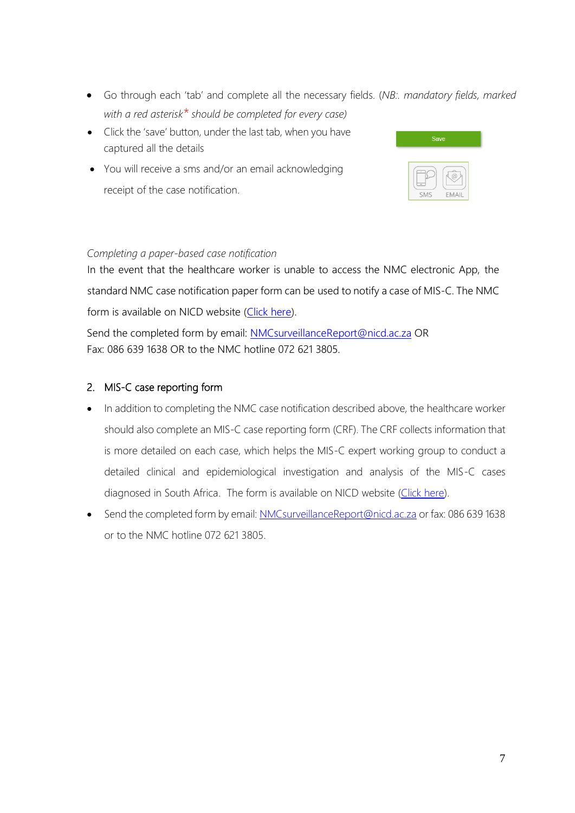- Go through each 'tab' and complete all the necessary fields. (*NB:. mandatory fields, marked with a red asterisk\* should be completed for every case)*
- Click the 'save' button, under the last tab, when you have captured all the details
- You will receive a sms and/or an email acknowledging receipt of the case notification.



#### *Completing a paper-based case notification*

In the event that the healthcare worker is unable to access the NMC electronic App, the standard NMC case notification paper form can be used to notify a case of MIS-C. The NMC form is available on NICD website [\(Click here\)](https://www.nicd.ac.za/wp-content/uploads/2018/04/NMC_Case_Notification_Form_NOTIFICATION_PAGE_v2_final-Mar2018.pdf).

Send the completed form by email: [NMCsurveillanceReport@nicd.ac.za](mailto:NMCsurveillanceReport@nicd.ac.za) OR Fax: 086 639 1638 OR to the NMC hotline 072 621 3805.

#### 2. MIS-C case reporting form

- In addition to completing the NMC case notification described above, the healthcare worker should also complete an MIS-C case reporting form (CRF). The CRF collects information that is more detailed on each case, which helps the MIS-C expert working group to conduct a detailed clinical and epidemiological investigation and analysis of the MIS-C cases diagnosed in South Africa. The form is available on NICD website [\(Click here\)](https://www.nicd.ac.za/wp-content/uploads/2020/09/NMC-CRF-for-MIS-C_8-Sept-2020-1.pdf).
- <span id="page-7-0"></span>• Send the completed form by email[: NMCsurveillanceReport@nicd.ac.za](mailto:NMCsurveillanceReport@nicd.ac.za) or fax: 086 639 1638 or to the NMC hotline 072 621 3805.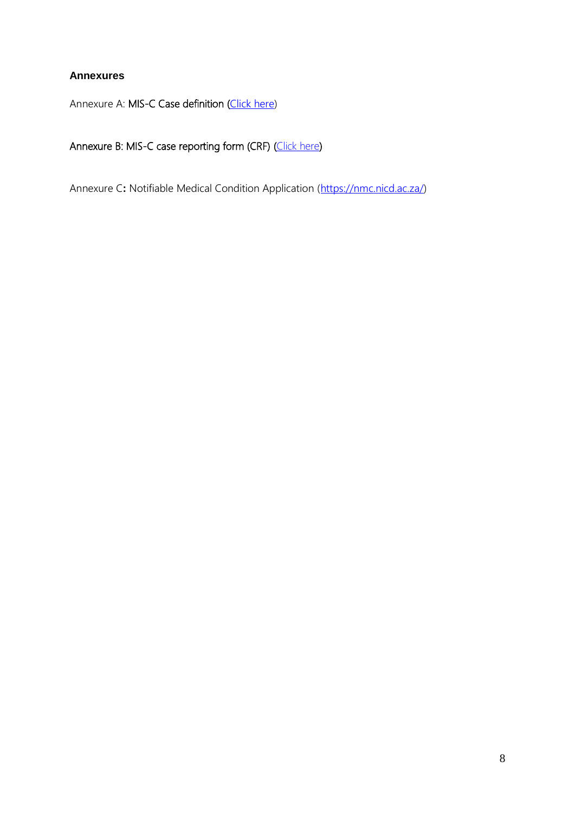### **Annexures**

Annexure A: MIS-C Case definition ([Click here\)](https://www.nicd.ac.za/wp-content/uploads/2020/09/MIS_C-Case-Def_09-Sept-2020.pdf)

## Annexure B: MIS-C case reporting form (CRF) [\(Click here\)](https://www.nicd.ac.za/wp-content/uploads/2020/09/NMC-CRF-for-MIS-C_8-Sept-2020-1.pdf)

Annexure C: Notifiable Medical Condition Application [\(https://nmc.nicd.ac.za/\)](https://nmc.nicd.ac.za/)